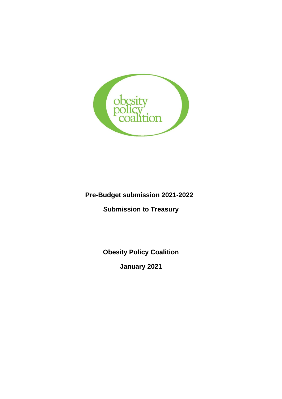

# **Pre-Budget submission 2021-2022**

**Submission to Treasury**

**Obesity Policy Coalition**

**January 2021**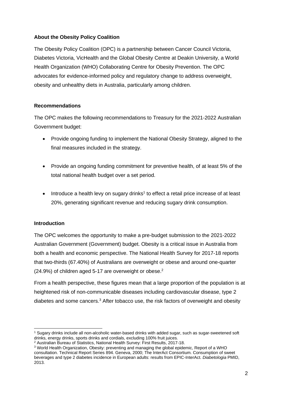### **About the Obesity Policy Coalition**

The Obesity Policy Coalition (OPC) is a partnership between Cancer Council Victoria, Diabetes Victoria, VicHealth and the Global Obesity Centre at Deakin University, a World Health Organization (WHO) Collaborating Centre for Obesity Prevention. The OPC advocates for evidence-informed policy and regulatory change to address overweight, obesity and unhealthy diets in Australia, particularly among children.

### **Recommendations**

The OPC makes the following recommendations to Treasury for the 2021-2022 Australian Government budget:

- Provide ongoing funding to implement the National Obesity Strategy, aligned to the final measures included in the strategy.
- Provide an ongoing funding commitment for preventive health, of at least 5% of the total national health budget over a set period.
- Introduce a health levy on sugary drinks<sup>1</sup> to effect a retail price increase of at least 20%, generating significant revenue and reducing sugary drink consumption.

### **Introduction**

The OPC welcomes the opportunity to make a pre-budget submission to the 2021-2022 Australian Government (Government) budget. Obesity is a critical issue in Australia from both a health and economic perspective. The National Health Survey for 2017-18 reports that two-thirds (67.40%) of Australians are overweight or obese and around one-quarter (24.9%) of children aged 5-17 are overweight or obese.<sup>2</sup>

From a health perspective, these figures mean that a large proportion of the population is at heightened risk of non-communicable diseases including cardiovascular disease, type 2 diabetes and some cancers.<sup>3</sup> After tobacco use, the risk factors of overweight and obesity

<sup>1</sup> Sugary drinks include all non-alcoholic water-based drinks with added sugar, such as sugar-sweetened soft drinks, energy drinks, sports drinks and cordials, excluding 100% fruit juices.

<sup>&</sup>lt;sup>2</sup> Australian Bureau of Statistics, National Health Survey: First Results, 2017-18.

<sup>3</sup> World Health Organization, Obesity: preventing and managing the global epidemic, Report of a WHO consultation. Technical Report Series 894. Geneva, 2000; The InterAct Consortium. Consumption of sweet beverages and type 2 diabetes incidence in European adults: results from EPIC-InterAct. *Diabetologia* PMID, 2013.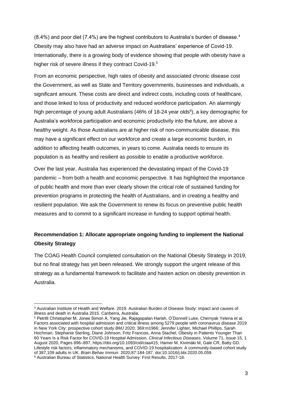$(8.4\%)$  and poor diet (7.4%) are the highest contributors to Australia's burden of disease.<sup>4</sup> Obesity may also have had an adverse impact on Australians' experience of Covid-19. Internationally, there is a growing body of evidence showing that people with obesity have a higher risk of severe illness if they contract Covid-19.<sup>5</sup>

From an economic perspective, high rates of obesity and associated chronic disease cost the Government, as well as State and Territory governments, businesses and individuals, a significant amount. These costs are direct and indirect costs, including costs of healthcare, and those linked to loss of productivity and reduced workforce participation. An alarmingly high percentage of young adult Australians (46% of 18-24 year olds<sup>6</sup>), a key demographic for Australia's workforce participation and economic productivity into the future, are above a healthy weight. As those Australians are at higher risk of non-communicable disease, this may have a significant effect on our workforce and create a large economic burden, in addition to affecting health outcomes, in years to come. Australia needs to ensure its population is as healthy and resilient as possible to enable a productive workforce.

Over the last year, Australia has experienced the devastating impact of the Covid-19 pandemic – from both a health and economic perspective. It has highlighted the importance of public health and more than ever clearly shown the critical role of sustained funding for prevention programs in protecting the health of Australians, and in creating a healthy and resilient population. We ask the Government to renew its focus on preventive public health measures and to commit to a significant increase in funding to support optimal health.

# **Recommendation 1: Allocate appropriate ongoing funding to implement the National Obesity Strategy**

The COAG Health Council completed consultation on the National Obesity Strategy in 2019, but no final strategy has yet been released. We strongly support the urgent release of this strategy as a fundamental framework to facilitate and hasten action on obesity prevention in Australia.

<sup>4</sup> Australian Institute of Health and Welfare. 2019. Australian Burden of Disease Study: impact and causes of illness and death in Australia 2015. Canberra, Australia.

<sup>5</sup> Petrilli Christopher M, Jones Simon A, Yang Jie, Rajagopalan Harish, O'Donnell Luke, Chernyak Yelena et al. Factors associated with hospital admission and critical illness among 5279 people with coronavirus disease 2019 in New York City: prospective cohort study *BMJ* 2020; 369:m1966; Jennifer Lighter, Michael Phillips, Sarah Hochman, Stephanie Sterling, Diane Johnson, Fritz Francois, Anna Stachel, Obesity in Patients Younger Than 60 Years Is a Risk Factor for COVID-19 Hospital Admission, *Clinical Infectious Diseases*, Volume 71, Issue 15, 1 August 2020, Pages 896–897, [https://doi.org/10.1093/cid/ciaa415;](https://doi.org/10.1093/cid/ciaa415) Hamer M, Kivimäki M, Gale CR, Batty GD. Lifestyle risk factors, inflammatory mechanisms, and COVID-19 hospitalization: A community-based cohort study of 387,109 adults in UK. *Brain Behav Immun*. 2020;87:184-187. doi:10.1016/j.bbi.2020.05.059.

<sup>6</sup> Australian Bureau of Statistics, National Health Survey: First Results, 2017-18.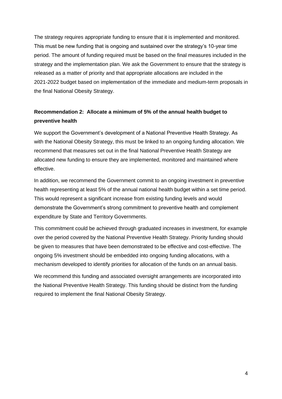The strategy requires appropriate funding to ensure that it is implemented and monitored. This must be new funding that is ongoing and sustained over the strategy's 10-year time period. The amount of funding required must be based on the final measures included in the strategy and the implementation plan. We ask the Government to ensure that the strategy is released as a matter of priority and that appropriate allocations are included in the 2021-2022 budget based on implementation of the immediate and medium-term proposals in the final National Obesity Strategy.

# **Recommendation 2: Allocate a minimum of 5% of the annual health budget to preventive health**

We support the Government's development of a National Preventive Health Strategy. As with the National Obesity Strategy, this must be linked to an ongoing funding allocation. We recommend that measures set out in the final National Preventive Health Strategy are allocated new funding to ensure they are implemented, monitored and maintained where effective.

In addition, we recommend the Government commit to an ongoing investment in preventive health representing at least 5% of the annual national health budget within a set time period. This would represent a significant increase from existing funding levels and would demonstrate the Government's strong commitment to preventive health and complement expenditure by State and Territory Governments.

This commitment could be achieved through graduated increases in investment, for example over the period covered by the National Preventive Health Strategy. Priority funding should be given to measures that have been demonstrated to be effective and cost-effective. The ongoing 5% investment should be embedded into ongoing funding allocations, with a mechanism developed to identify priorities for allocation of the funds on an annual basis.

We recommend this funding and associated oversight arrangements are incorporated into the National Preventive Health Strategy. This funding should be distinct from the funding required to implement the final National Obesity Strategy.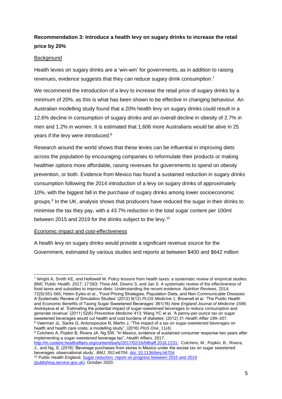### **Recommendation 3: Introduce a health levy on sugary drinks to increase the retail price by 20%**

#### Background

Health levies on sugary drinks are a 'win-win' for governments, as in addition to raising revenues, evidence suggests that they can reduce sugary drink consumption.<sup>7</sup>

We recommend the introduction of a levy to increase the retail price of sugary drinks by a minimum of 20%, as this is what has been shown to be effective in changing behaviour. An Australian modelling study found that a 20% health levy on sugary drinks could result in a 12.6% decline in consumption of sugary drinks and an overall decline in obesity of 2.7% in men and 1.2% in women. It is estimated that 1,606 more Australians would be alive in 25 years if the levy were introduced.<sup>8</sup>

Research around the world shows that these levies can be influential in improving diets across the population by encouraging companies to reformulate their products or making healthier options more affordable, raising revenues for governments to spend on obesity prevention, or both. Evidence from Mexico has found a sustained reduction in sugary drinks consumption following the 2014 introduction of a levy on sugary drinks of approximately 10%, with the biggest fall in the purchase of sugary drinks among lower socioeconomic groups. 9 In the UK, analysis shows that producers have reduced the sugar in their drinks to minimise the tax they pay, with a 43.7% reduction in the total sugar content per 100ml between 2015 and 2019 for the drinks subject to the levy.<sup>10</sup>

#### Economic impact and cost-effectiveness

A health levy on sugary drinks would provide a significant revenue source for the Government, estimated by various studies and reports at between \$400 and \$642 million

<sup>7</sup> Wright A, Smith KE, and Hellowell M. Policy lessons from health taxes: a systematic review of empirical studies. *BMC Public Health*, 2017; 17:583; Thow AM, Downs S, and Jan S. A systematic review of the effectiveness of food taxes and subsidies to improve diets: Understanding the recent evidence. *Nutrition Reviews*, 2014; 72(9):551-565; Helen Eyles et al., 'Food Pricing Strategies, Population Diets, and Non-Communicable Diseases: A Systematic Review of Simulation Studies' (2012) 9(12) *PLOS Medicine* 1; Brownell et al. 'The Public Health and Economic Benefits of Taxing Sugar-Sweetened Beverages' 361(16) *New England Journal of Medicine* 1599; Andreyeva et al. 'Estimating the potential impact of sugar-sweetened beverages to reduce consumption and generate revenue' (2011) 52(6) *Preventive Medicine* 413; Wang YC et al. 'A penny-per-ounce tax on sugar sweetened beverages would cut health and cost burdens of diabetes' (2012) 31 *Health Affair* 199–207. <sup>8</sup> Veerman JL, Sacks G, Antonopoulos N, Martin J, "The impact of a tax on sugar-sweetened beverages on health and health care costs; a modelling study", (2016) *PloS One*, 11(4).

<sup>9</sup> Colchero A, Popkin B, Rivera JA, Ng SW, "In Mexico, evidence of sustained consumer response two years after implementing a sugar-sweetened beverage tax", *Health Affairs,* 2017.

[http://m.content.healthaffairs.org/content/early/2017/02/16/hlthaff.2016.1231;](http://m.content.healthaffairs.org/content/early/2017/02/16/hlthaff.2016.1231) Colchero, M., Popkin, B., Rivera, J., and Ng, S. (2016) 'Beverage purchases from stores in Mexico under the excise tax on sugar sweetened beverages: observational study', *BMJ*, 352:e6704. [doi: 10.1136/bmj.h6704.](https://www.ncbi.nlm.nih.gov/pubmed/26738745)

<sup>10</sup> Public Health England[, Sugar reduction: report on progress between 2015 and 2019](https://assets.publishing.service.gov.uk/government/uploads/system/uploads/attachment_data/file/925027/SugarReportY3.pdf)  [\(publishing.service.gov.uk\),](https://assets.publishing.service.gov.uk/government/uploads/system/uploads/attachment_data/file/925027/SugarReportY3.pdf) October 2020.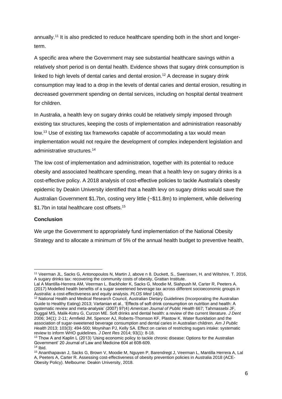annually.<sup>11</sup> It is also predicted to reduce healthcare spending both in the short and longerterm.

A specific area where the Government may see substantial healthcare savings within a relatively short period is on dental health. Evidence shows that sugary drink consumption is linked to high levels of dental caries and dental erosion.<sup>12</sup> A decrease in sugary drink consumption may lead to a drop in the levels of dental caries and dental erosion, resulting in decreased government spending on dental services, including on hospital dental treatment for children.

In Australia, a health levy on sugary drinks could be relatively simply imposed through existing tax structures, keeping the costs of implementation and administration reasonably low.<sup>13</sup> Use of existing tax frameworks capable of accommodating a tax would mean implementation would not require the development of complex independent legislation and administrative structures.<sup>14</sup>

The low cost of implementation and administration, together with its potential to reduce obesity and associated healthcare spending, mean that a health levy on sugary drinks is a cost-effective policy. A 2018 analysis of cost-effective policies to tackle Australia's obesity epidemic by Deakin University identified that a health levy on sugary drinks would save the Australian Government \$1.7bn, costing very little (~\$11.8m) to implement, while delivering \$1.7bn in total healthcare cost offsets.<sup>15</sup>

#### **Conclusion**

We urge the Government to appropriately fund implementation of the National Obesity Strategy and to allocate a minimum of 5% of the annual health budget to preventive health,

<sup>11</sup> Veerman JL, Sacks G, Antonopoulos N, Martin J, above n 8. Duckett, S., Swerissen, H. and Wiltshire, T. 2016, A sugary drinks tax: recovering the community costs of obesity, Grattan Institute.

Lal A Mantilla-Herrera AM, Veerman L. Backholer K, Sacks G, Moodie M, Siahpush M, Carter R, Peeters A. (2017) Modelled health benefits of a sugar sweetened beverage tax across different socioeconomic groups in Australia: a cost-effectiveness and equity analysis*. PLOS Med* 14(6).

<sup>12</sup> National Health and Medical Research Council, Australian Dietary Guidelines (Incorporating the Australian Guide to Healthy Eating) 2013; Vartanian et al., 'Effects of soft drink consumption on nutrition and health: A systematic review and meta-analysis' (2007) 97(4) *American Journal of Public Health* 667; Tahmassebi JF, Duggal MS, Malik-Kotru G, Curzon ME. Soft drinks and dental health: a review of the current literature. *J Dent* 2006; 34(1): 2-11; Armfield JM, Spencer AJ, Roberts-Thomson KF, Plastow K. Water fluoridation and the association of sugar-sweetened beverage consumption and dental caries in Australian children. *Am J Public Health* 2013; 103(3): 494-500; Moynihan PJ, Kelly SA. Effect on caries of restricting sugars intake: systematic review to inform WHO guidelines. *J Dent Res* 2014; 93(1): 8-18.

<sup>&</sup>lt;sup>13</sup> Thow A and Kaplin L (2013) 'Using economic policy to tackle chronic disease: Options for the Australian Government' 20 Journal of Law and Medicine 604 at 608-609.  $14$  Ibid.

<sup>15</sup> Ananthapavan J, Sacks G, Brown V, Moodie M, Nguyen P, Barendregt J, Veerman L, Mantilla Herrera A, Lal A, Peeters A, Carter R. Assessing cost-effectiveness of obesity prevention policies in Australia 2018 (ACE-Obesity Policy). Melbourne: Deakin University, 2018.